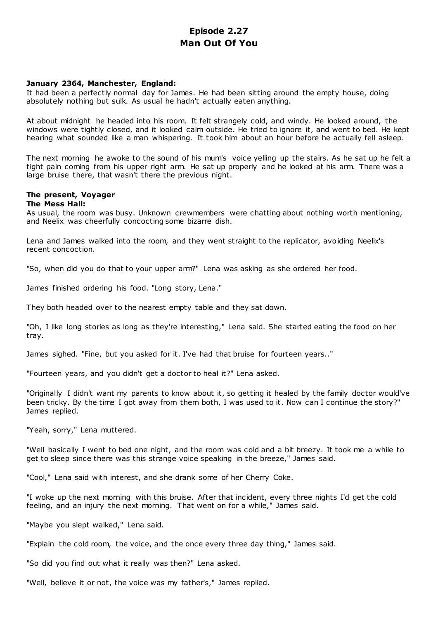# **Episode 2.27 Man Out Of You**

## **January 2364, Manchester, England:**

It had been a perfectly normal day for James. He had been sitting around the empty house, doing absolutely nothing but sulk. As usual he hadn't actually eaten anything.

At about midnight he headed into his room. It felt strangely cold, and windy. He looked around, the windows were tightly closed, and it looked calm outside. He tried to ignore it, and went to bed. He kept hearing what sounded like a man whispering. It took him about an hour before he actually fell asleep.

The next morning he awoke to the sound of his mum's voice yelling up the stairs. As he sat up he felt a tight pain coming from his upper right arm. He sat up properly and he looked at his arm. There was a large bruise there, that wasn't there the previous night.

# **The present, Voyager**

## **The Mess Hall:**

As usual, the room was busy. Unknown crewmembers were chatting about nothing worth mentioning, and Neelix was cheerfully concocting some bizarre dish.

Lena and James walked into the room, and they went straight to the replicator, avoiding Neelix's recent concoction.

"So, when did you do that to your upper arm?" Lena was asking as she ordered her food.

James finished ordering his food. "Long story, Lena."

They both headed over to the nearest empty table and they sat down.

"Oh, I like long stories as long as they're interesting," Lena said. She started eating the food on her tray.

James sighed. "Fine, but you asked for it. I've had that bruise for fourteen years.."

"Fourteen years, and you didn't get a doctor to heal it?" Lena asked.

"Originally I didn't want my parents to know about it, so getting it healed by the family doctor would've been tricky. By the time I got away from them both, I was used to it. Now can I continue the story?" James replied.

"Yeah, sorry," Lena muttered.

"Well basically I went to bed one night, and the room was cold and a bit breezy. It took me a while to get to sleep since there was this strange voice speaking in the breeze," James said.

"Cool," Lena said with interest, and she drank some of her Cherry Coke.

"I woke up the next morning with this bruise. After that incident, every three nights I'd get the cold feeling, and an injury the next morning. That went on for a while," James said.

"Maybe you slept walked," Lena said.

"Explain the cold room, the voice, and the once every three day thing," James said.

"So did you find out what it really was then?" Lena asked.

"Well, believe it or not, the voice was my father's," James replied.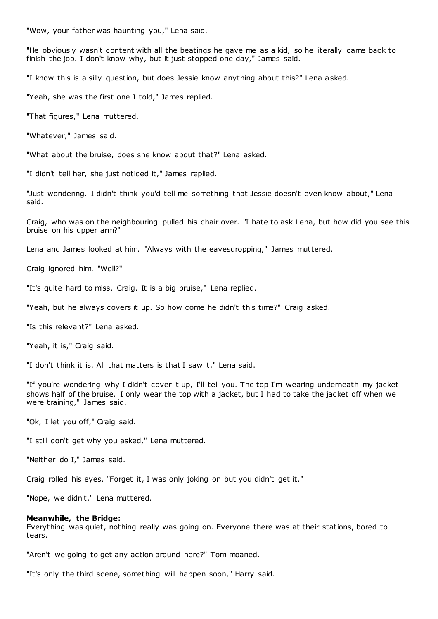"Wow, your father was haunting you," Lena said.

"He obviously wasn't content with all the beatings he gave me as a kid, so he literally came back to finish the job. I don't know why, but it just stopped one day," James said.

"I know this is a silly question, but does Jessie know anything about this?" Lena asked.

"Yeah, she was the first one I told," James replied.

"That figures," Lena muttered.

"Whatever," James said.

"What about the bruise, does she know about that?" Lena asked.

"I didn't tell her, she just noticed it," James replied.

"Just wondering. I didn't think you'd tell me something that Jessie doesn't even know about," Lena said.

Craig, who was on the neighbouring pulled his chair over. "I hate to ask Lena, but how did you see this bruise on his upper arm?"

Lena and James looked at him. "Always with the eavesdropping," James muttered.

Craig ignored him. "Well?"

"It's quite hard to miss, Craig. It is a big bruise," Lena replied.

"Yeah, but he always covers it up. So how come he didn't this time?" Craig asked.

"Is this relevant?" Lena asked.

"Yeah, it is," Craig said.

"I don't think it is. All that matters is that I saw it," Lena said.

"If you're wondering why I didn't cover it up, I'll tell you. The top I'm wearing underneath my jacket shows half of the bruise. I only wear the top with a jacket, but I had to take the jacket off when we were training," James said.

"Ok, I let you off," Craig said.

"I still don't get why you asked," Lena muttered.

"Neither do I," James said.

Craig rolled his eyes. "Forget it, I was only joking on but you didn't get it."

"Nope, we didn't," Lena muttered.

#### **Meanwhile, the Bridge:**

Everything was quiet, nothing really was going on. Everyone there was at their stations, bored to tears.

"Aren't we going to get any action around here?" Tom moaned.

"It's only the third scene, something will happen soon," Harry said.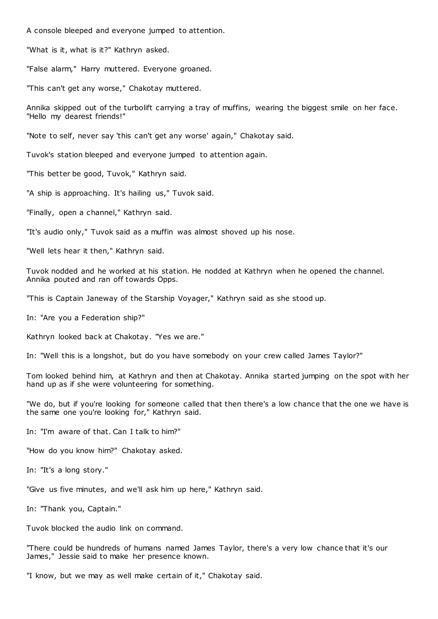A console bleeped and everyone jumped to attention.

"What is it, what is it?" Kathryn asked.

"False alarm," Harry muttered. Everyone groaned.

"This can't get any worse," Chakotay muttered.

Annika skipped out of the turbolift carrying a tray of muffins, wearing the biggest smile on her face. "Hello my dearest friends!"

"Note to self, never say 'this can't get any worse' again," Chakotay said.

Tuvok's station bleeped and everyone jumped to attention again.

"This better be good, Tuvok," Kathryn said.

"A ship is approaching. It's hailing us," Tuvok said.

"Finally, open a channel," Kathryn said.

"It's audio only," Tuvok said as a muffin was almost shoved up his nose.

"Well lets hear it then," Kathryn said.

Tuvok nodded and he worked at his station. He nodded at Kathryn when he opened the channel. Annika pouted and ran off towards Opps.

"This is Captain Janeway of the Starship Voyager," Kathryn said as she stood up.

In: "Are you a Federation ship?"

Kathryn looked back at Chakotay. "Yes we are."

In: "Well this is a longshot, but do you have somebody on your crew called James Taylor?"

Tom looked behind him, at Kathryn and then at Chakotay. Annika started jumping on the spot with her hand up as if she were volunteering for something.

"We do, but if you're looking for someone called that then there's a low chance that the one we have is the same one you're looking for," Kathryn said.

In: "I'm aware of that. Can I talk to him?"

"How do you know him?" Chakotay asked.

In: "It's a long story."

"Give us five minutes, and we'll ask him up here," Kathryn said.

In: "Thank you, Captain."

Tuvok blocked the audio link on command.

"There could be hundreds of humans named James Taylor, there's a very low chance that it's our James," Jessie said to make her presence known.

"I know, but we may as well make certain of it," Chakotay said.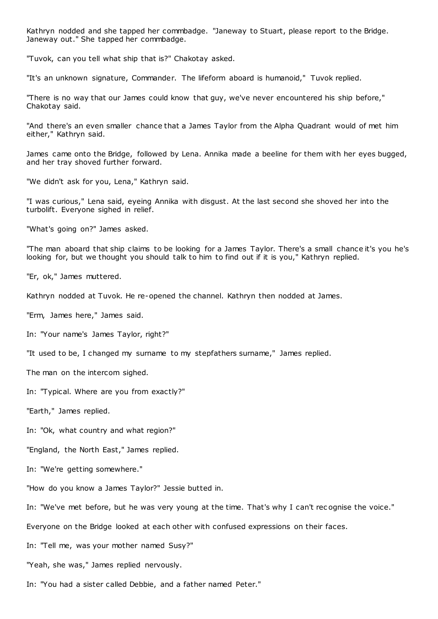Kathryn nodded and she tapped her commbadge. "Janeway to Stuart, please report to the Bridge. Janeway out." She tapped her commbadge.

"Tuvok, can you tell what ship that is?" Chakotay asked.

"It's an unknown signature, Commander. The lifeform aboard is humanoid," Tuvok replied.

"There is no way that our James could know that guy, we've never encountered his ship before," Chakotay said.

"And there's an even smaller chance that a James Taylor from the Alpha Quadrant would of met him either," Kathryn said.

James came onto the Bridge, followed by Lena. Annika made a beeline for them with her eyes bugged, and her tray shoved further forward.

"We didn't ask for you, Lena," Kathryn said.

"I was curious," Lena said, eyeing Annika with disgust. At the last second she shoved her into the turbolift. Everyone sighed in relief.

"What's going on?" James asked.

"The man aboard that ship claims to be looking for a James Taylor. There's a small chance it's you he's looking for, but we thought you should talk to him to find out if it is you," Kathryn replied.

"Er, ok," James muttered.

Kathryn nodded at Tuvok. He re-opened the channel. Kathryn then nodded at James.

"Erm, James here," James said.

In: "Your name's James Taylor, right?"

"It used to be, I changed my surname to my stepfathers surname," James replied.

The man on the intercom sighed.

In: "Typical. Where are you from exactly?"

"Earth," James replied.

In: "Ok, what country and what region?"

"England, the North East," James replied.

In: "We're getting somewhere."

"How do you know a James Taylor?" Jessie butted in.

In: "We've met before, but he was very young at the time. That's why I can't rec ognise the voice."

Everyone on the Bridge looked at each other with confused expressions on their faces.

In: "Tell me, was your mother named Susy?"

"Yeah, she was," James replied nervously.

In: "You had a sister called Debbie, and a father named Peter."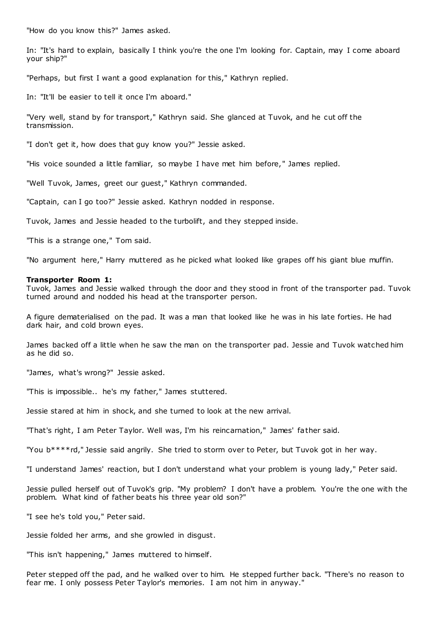"How do you know this?" James asked.

In: "It's hard to explain, basically I think you're the one I'm looking for. Captain, may I come aboard your ship?"

"Perhaps, but first I want a good explanation for this," Kathryn replied.

In: "It'll be easier to tell it once I'm aboard."

"Very well, stand by for transport," Kathryn said. She glanced at Tuvok, and he cut off the transmission.

"I don't get it, how does that guy know you?" Jessie asked.

"His voice sounded a little familiar, so maybe I have met him before," James replied.

"Well Tuvok, James, greet our guest," Kathryn commanded.

"Captain, can I go too?" Jessie asked. Kathryn nodded in response.

Tuvok, James and Jessie headed to the turbolift, and they stepped inside.

"This is a strange one," Tom said.

"No argument here," Harry muttered as he picked what looked like grapes off his giant blue muffin.

#### **Transporter Room 1:**

Tuvok, James and Jessie walked through the door and they stood in front of the transporter pad. Tuvok turned around and nodded his head at the transporter person.

A figure dematerialised on the pad. It was a man that looked like he was in his late forties. He had dark hair, and cold brown eyes.

James backed off a little when he saw the man on the transporter pad. Jessie and Tuvok watched him as he did so.

"James, what's wrong?" Jessie asked.

"This is impossible.. he's my father," James stuttered.

Jessie stared at him in shock, and she turned to look at the new arrival.

"That's right, I am Peter Taylor. Well was, I'm his reincarnation," James' father said.

"You b\*\*\*\*rd," Jessie said angrily. She tried to storm over to Peter, but Tuvok got in her way.

"I understand James' reaction, but I don't understand what your problem is young lady," Peter said.

Jessie pulled herself out of Tuvok's grip. "My problem? I don't have a problem. You're the one with the problem. What kind of father beats his three year old son?"

"I see he's told you," Peter said.

Jessie folded her arms, and she growled in disgust.

"This isn't happening," James muttered to himself.

Peter stepped off the pad, and he walked over to him. He stepped further back. "There's no reason to fear me. I only possess Peter Taylor's memories. I am not him in anyway."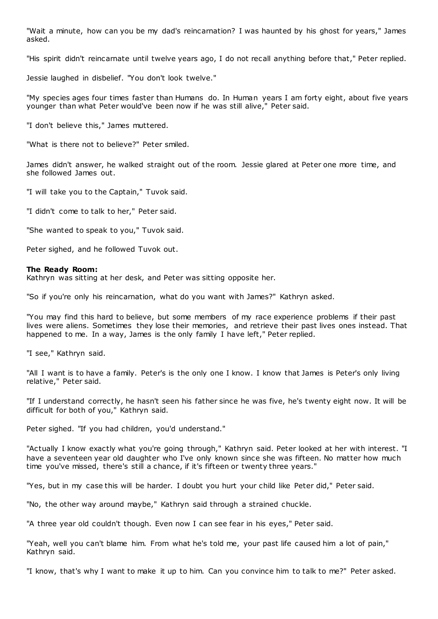"Wait a minute, how can you be my dad's reincarnation? I was haunted by his ghost for years," James asked.

"His spirit didn't reincarnate until twelve years ago, I do not recall anything before that," Peter replied.

Jessie laughed in disbelief. "You don't look twelve."

"My species ages four times faster than Humans do. In Human years I am forty eight, about five years younger than what Peter would've been now if he was still alive," Peter said.

"I don't believe this," James muttered.

"What is there not to believe?" Peter smiled.

James didn't answer, he walked straight out of the room. Jessie glared at Peter one more time, and she followed James out.

"I will take you to the Captain," Tuvok said.

"I didn't come to talk to her," Peter said.

"She wanted to speak to you," Tuvok said.

Peter sighed, and he followed Tuvok out.

## **The Ready Room:**

Kathryn was sitting at her desk, and Peter was sitting opposite her.

"So if you're only his reincarnation, what do you want with James?" Kathryn asked.

"You may find this hard to believe, but some members of my race experience problems if their past lives were aliens. Sometimes they lose their memories, and retrieve their past lives ones instead. That happened to me. In a way, James is the only family I have left," Peter replied.

"I see," Kathryn said.

"All I want is to have a family. Peter's is the only one I know. I know that James is Peter's only living relative," Peter said.

"If I understand correctly, he hasn't seen his father since he was five, he's twenty eight now. It will be difficult for both of you," Kathryn said.

Peter sighed. "If you had children, you'd understand."

"Actually I know exactly what you're going through," Kathryn said. Peter looked at her with interest. "I have a seventeen year old daughter who I've only known since she was fifteen. No matter how much time you've missed, there's still a chance, if it's fifteen or twenty three years."

"Yes, but in my case this will be harder. I doubt you hurt your child like Peter did," Peter said.

"No, the other way around maybe," Kathryn said through a strained chuckle.

"A three year old couldn't though. Even now I can see fear in his eyes," Peter said.

"Yeah, well you can't blame him. From what he's told me, your past life caused him a lot of pain," Kathryn said.

"I know, that's why I want to make it up to him. Can you convince him to talk to me?" Peter asked.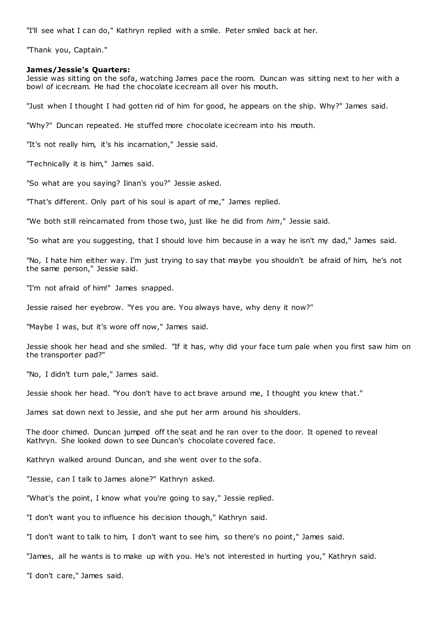"I'll see what I can do," Kathryn replied with a smile. Peter smiled back at her.

"Thank you, Captain."

#### **James/Jessie's Quarters:**

Jessie was sitting on the sofa, watching James pace the room. Duncan was sitting next to her with a bowl of icecream. He had the chocolate icecream all over his mouth.

"Just when I thought I had gotten rid of him for good, he appears on the ship. Why?" James said.

"Why?" Duncan repeated. He stuffed more chocolate icecream into his mouth.

"It's not really him, it's his incarnation," Jessie said.

"Technically it is him," James said.

"So what are you saying? Iinan's you?" Jessie asked.

"That's different. Only part of his soul is apart of me," James replied.

"We both still reincarnated from those two, just like he did from *him*," Jessie said.

"So what are you suggesting, that I should love him because in a way he isn't my dad," James said.

"No, I hate him either way. I'm just trying to say that maybe you shouldn't be afraid of him, he's not the same person," Jessie said.

"I'm not afraid of him!" James snapped.

Jessie raised her eyebrow. "Yes you are. You always have, why deny it now?"

"Maybe I was, but it's wore off now," James said.

Jessie shook her head and she smiled. "If it has, why did your face turn pale when you first saw him on the transporter pad?"

"No, I didn't turn pale," James said.

Jessie shook her head. "You don't have to act brave around me, I thought you knew that."

James sat down next to Jessie, and she put her arm around his shoulders.

The door chimed. Duncan jumped off the seat and he ran over to the door. It opened to reveal Kathryn. She looked down to see Duncan's chocolate covered face.

Kathryn walked around Duncan, and she went over to the sofa.

"Jessie, can I talk to James alone?" Kathryn asked.

"What's the point, I know what you're going to say," Jessie replied.

"I don't want you to influence his decision though," Kathryn said.

"I don't want to talk to him, I don't want to see him, so there's no point," James said.

"James, all he wants is to make up with you. He's not interested in hurting you," Kathryn said.

"I don't care," James said.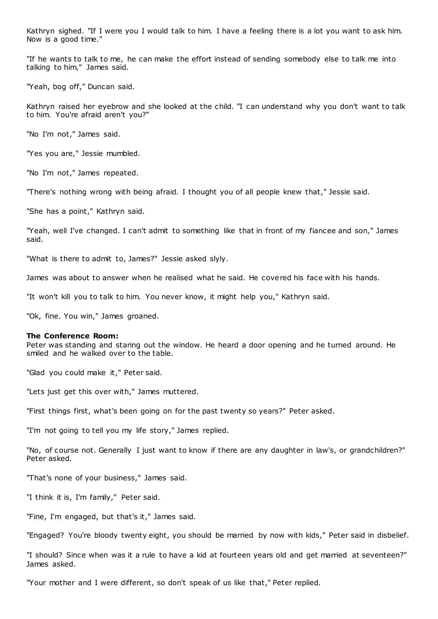Kathryn sighed. "If I were you I would talk to him. I have a feeling there is a lot you want to ask him. Now is a good time."

"If he wants to talk to me, he can make the effort instead of sending somebody else to talk me into talking to him," James said.

"Yeah, bog off," Duncan said.

Kathryn raised her eyebrow and she looked at the child. "I can understand why you don't want to talk to him. You're afraid aren't you?"

"No I'm not," James said.

"Yes you are," Jessie mumbled.

"No I'm not," James repeated.

"There's nothing wrong with being afraid. I thought you of all people knew that," Jessie said.

"She has a point," Kathryn said.

"Yeah, well I've changed. I can't admit to something like that in front of my fiancee and son," James said.

"What is there to admit to, James?" Jessie asked slyly.

James was about to answer when he realised what he said. He covered his face with his hands.

"It won't kill you to talk to him. You never know, it might help you," Kathryn said.

"Ok, fine. You win," James groaned.

## **The Conference Room:**

Peter was standing and staring out the window. He heard a door opening and he turned around. He smiled and he walked over to the table.

"Glad you could make it," Peter said.

"Lets just get this over with," James muttered.

"First things first, what's been going on for the past twenty so years?" Peter asked.

"I'm not going to tell you my life story," James replied.

"No, of course not. Generally I just want to know if there are any daughter in law's, or grandchildren?" Peter asked.

"That's none of your business," James said.

"I think it is, I'm family," Peter said.

"Fine, I'm engaged, but that's it," James said.

"Engaged? You're bloody twenty eight, you should be married by now with kids," Peter said in disbelief.

"I should? Since when was it a rule to have a kid at fourteen years old and get married at seventeen?" James asked.

"Your mother and I were different, so don't speak of us like that," Peter replied.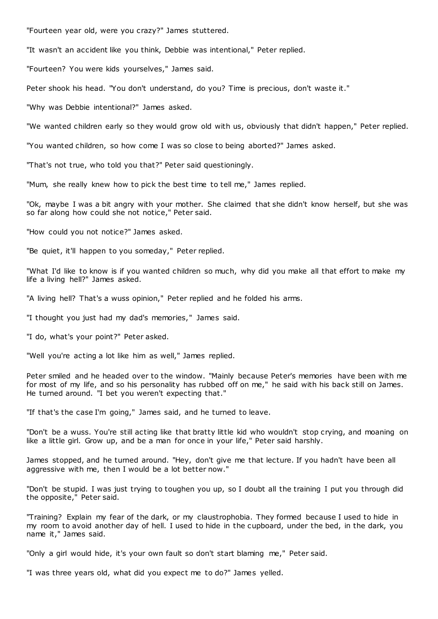"Fourteen year old, were you crazy?" James stuttered.

"It wasn't an accident like you think, Debbie was intentional," Peter replied.

"Fourteen? You were kids yourselves," James said.

Peter shook his head. "You don't understand, do you? Time is precious, don't waste it."

"Why was Debbie intentional?" James asked.

"We wanted children early so they would grow old with us, obviously that didn't happen," Peter replied.

"You wanted children, so how come I was so close to being aborted?" James asked.

"That's not true, who told you that?" Peter said questioningly.

"Mum, she really knew how to pick the best time to tell me," James replied.

"Ok, maybe I was a bit angry with your mother. She claimed that she didn't know herself, but she was so far along how could she not notice," Peter said.

"How could you not notice?" James asked.

"Be quiet, it'll happen to you someday," Peter replied.

"What I'd like to know is if you wanted children so much, why did you make all that effort to make my life a living hell?" James asked.

"A living hell? That's a wuss opinion," Peter replied and he folded his arms.

"I thought you just had my dad's memories," James said.

"I do, what's your point?" Peter asked.

"Well you're acting a lot like him as well," James replied.

Peter smiled and he headed over to the window. "Mainly because Peter's memories have been with me for most of my life, and so his personality has rubbed off on me," he said with his back still on James. He turned around. "I bet you weren't expecting that."

"If that's the case I'm going," James said, and he turned to leave.

"Don't be a wuss. You're still acting like that bratty little kid who wouldn't stop crying, and moaning on like a little girl. Grow up, and be a man for once in your life," Peter said harshly.

James stopped, and he turned around. "Hey, don't give me that lecture. If you hadn't have been all aggressive with me, then I would be a lot better now."

"Don't be stupid. I was just trying to toughen you up, so I doubt all the training I put you through did the opposite," Peter said.

"Training? Explain my fear of the dark, or my claustrophobia. They formed because I used to hide in my room to avoid another day of hell. I used to hide in the cupboard, under the bed, in the dark, you name it," James said.

"Only a girl would hide, it's your own fault so don't start blaming me," Peter said.

"I was three years old, what did you expect me to do?" James yelled.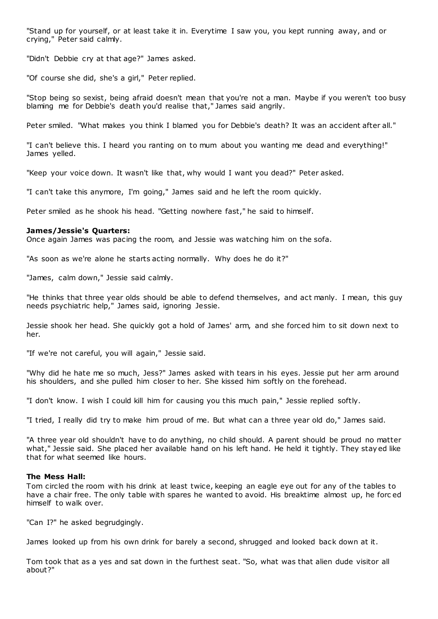"Stand up for yourself, or at least take it in. Everytime I saw you, you kept running away, and or crying," Peter said calmly.

"Didn't Debbie cry at that age?" James asked.

"Of course she did, she's a girl," Peter replied.

"Stop being so sexist, being afraid doesn't mean that you're not a man. Maybe if you weren't too busy blaming me for Debbie's death you'd realise that," James said angrily.

Peter smiled. "What makes you think I blamed you for Debbie's death? It was an accident after all."

"I can't believe this. I heard you ranting on to mum about you wanting me dead and everything!" James yelled.

"Keep your voice down. It wasn't like that, why would I want you dead?" Peter asked.

"I can't take this anymore, I'm going," James said and he left the room quickly.

Peter smiled as he shook his head. "Getting nowhere fast," he said to himself.

## **James/Jessie's Quarters:**

Once again James was pacing the room, and Jessie was watching him on the sofa.

"As soon as we're alone he starts acting normally. Why does he do it?"

"James, calm down," Jessie said calmly.

"He thinks that three year olds should be able to defend themselves, and act manly. I mean, this guy needs psychiatric help," James said, ignoring Jessie.

Jessie shook her head. She quickly got a hold of James' arm, and she forced him to sit down next to her.

"If we're not careful, you will again," Jessie said.

"Why did he hate me so much, Jess?" James asked with tears in his eyes. Jessie put her arm around his shoulders, and she pulled him closer to her. She kissed him softly on the forehead.

"I don't know. I wish I could kill him for causing you this much pain," Jessie replied softly.

"I tried, I really did try to make him proud of me. But what can a three year old do," James said.

"A three year old shouldn't have to do anything, no child should. A parent should be proud no matter what," Jessie said. She placed her available hand on his left hand. He held it tightly. They stayed like that for what seemed like hours.

## **The Mess Hall:**

Tom circled the room with his drink at least twice, keeping an eagle eye out for any of the tables to have a chair free. The only table with spares he wanted to avoid. His breaktime almost up, he forc ed himself to walk over.

"Can I?" he asked begrudgingly.

James looked up from his own drink for barely a second, shrugged and looked back down at it.

Tom took that as a yes and sat down in the furthest seat. "So, what was that alien dude visitor all about?"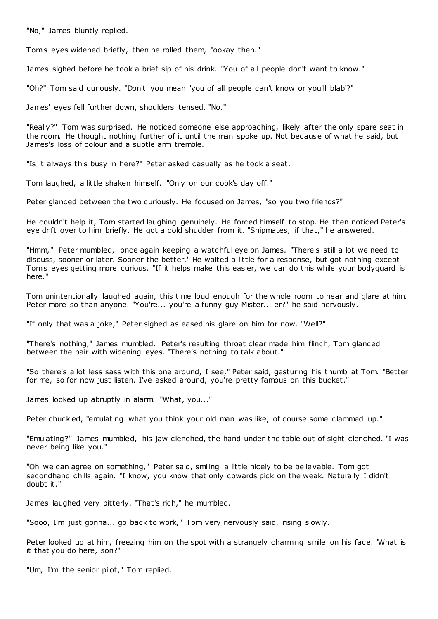"No," James bluntly replied.

Tom's eyes widened briefly, then he rolled them, "ookay then."

James sighed before he took a brief sip of his drink. "You of all people don't want to know."

"Oh?" Tom said curiously. "Don't you mean 'you of all people can't know or you'll blab'?"

James' eyes fell further down, shoulders tensed. "No."

"Really?" Tom was surprised. He noticed someone else approaching, likely after the only spare seat in the room. He thought nothing further of it until the man spoke up. Not because of what he said, but James's loss of colour and a subtle arm tremble.

"Is it always this busy in here?" Peter asked casually as he took a seat.

Tom laughed, a little shaken himself. "Only on our cook's day off."

Peter glanced between the two curiously. He focused on James, "so you two friends?"

He couldn't help it, Tom started laughing genuinely. He forced himself to stop. He then noticed Peter's eye drift over to him briefly. He got a cold shudder from it. "Shipmates, if that," he answered.

"Hmm," Peter mumbled, once again keeping a watchful eye on James. "There's still a lot we need to discuss, sooner or later. Sooner the better." He waited a little for a response, but got nothing except Tom's eyes getting more curious. "If it helps make this easier, we can do this while your bodyguard is here."

Tom unintentionally laughed again, this time loud enough for the whole room to hear and glare at him. Peter more so than anyone. "You're... you're a funny guy Mister... er?" he said nervously.

"If only that was a joke," Peter sighed as eased his glare on him for now. "Well?"

"There's nothing," James mumbled. Peter's resulting throat clear made him flinch, Tom glanced between the pair with widening eyes. "There's nothing to talk about."

"So there's a lot less sass with this one around, I see," Peter said, gesturing his thumb at Tom. "Better for me, so for now just listen. I've asked around, you're pretty famous on this bucket."

James looked up abruptly in alarm. "What, you..."

Peter chuckled, "emulating what you think your old man was like, of course some clammed up."

"Emulating?" James mumbled, his jaw clenched, the hand under the table out of sight clenched. "I was never being like you."

"Oh we can agree on something," Peter said, smiling a little nicely to be believable. Tom got secondhand chills again. "I know, you know that only cowards pick on the weak. Naturally I didn't doubt it."

James laughed very bitterly. "That's rich," he mumbled.

"Sooo, I'm just gonna... go back to work," Tom very nervously said, rising slowly.

Peter looked up at him, freezing him on the spot with a strangely charming smile on his face. "What is it that you do here, son?"

"Um, I'm the senior pilot," Tom replied.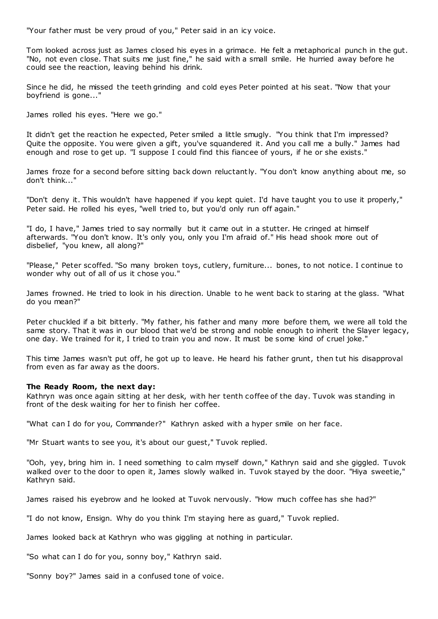"Your father must be very proud of you," Peter said in an icy voice.

Tom looked across just as James closed his eyes in a grimace. He felt a metaphorical punch in the gut. "No, not even close. That suits me just fine," he said with a small smile. He hurried away before he could see the reaction, leaving behind his drink.

Since he did, he missed the teeth grinding and cold eyes Peter pointed at his seat. "Now that your boyfriend is gone..."

James rolled his eyes. "Here we go."

It didn't get the reaction he expected, Peter smiled a little smugly. "You think that I'm impressed? Quite the opposite. You were given a gift, you've squandered it. And you call me a bully." James had enough and rose to get up. "I suppose I could find this fiancee of yours, if he or she exists."

James froze for a second before sitting back down reluctantly. "You don't know anything about me, so don't think..."

"Don't deny it. This wouldn't have happened if you kept quiet. I'd have taught you to use it properly," Peter said. He rolled his eyes, "well tried to, but you'd only run off again."

"I do, I have," James tried to say normally but it came out in a stutter. He cringed at himself afterwards. "You don't know. It's only you, only you I'm afraid of." His head shook more out of disbelief, "you knew, all along?"

"Please," Peter scoffed. "So many broken toys, cutlery, furniture... bones, to not notice. I continue to wonder why out of all of us it chose you."

James frowned. He tried to look in his direction. Unable to he went back to staring at the glass. "What do you mean?"

Peter chuckled if a bit bitterly. "My father, his father and many more before them, we were all told the same story. That it was in our blood that we'd be strong and noble enough to inherit the Slayer legacy, one day. We trained for it, I tried to train you and now. It must be some kind of cruel joke."

This time James wasn't put off, he got up to leave. He heard his father grunt, then tut his disapproval from even as far away as the doors.

## **The Ready Room, the next day:**

Kathryn was once again sitting at her desk, with her tenth coffee of the day. Tuvok was standing in front of the desk waiting for her to finish her coffee.

"What can I do for you, Commander?" Kathryn asked with a hyper smile on her face.

"Mr Stuart wants to see you, it's about our guest," Tuvok replied.

"Ooh, yey, bring him in. I need something to calm myself down," Kathryn said and she giggled. Tuvok walked over to the door to open it, James slowly walked in. Tuvok stayed by the door. "Hiya sweetie," Kathryn said.

James raised his eyebrow and he looked at Tuvok nervously. "How much coffee has she had?"

"I do not know, Ensign. Why do you think I'm staying here as guard," Tuvok replied.

James looked back at Kathryn who was giggling at nothing in particular.

"So what can I do for you, sonny boy," Kathryn said.

"Sonny boy?" James said in a confused tone of voice.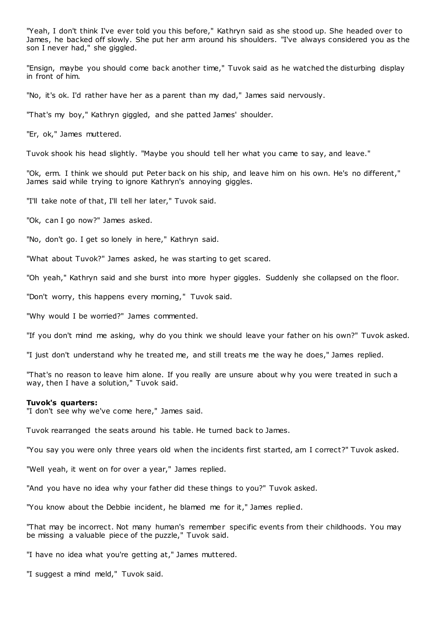"Yeah, I don't think I've ever told you this before," Kathryn said as she stood up. She headed over to James, he backed off slowly. She put her arm around his shoulders. "I've always considered you as the son I never had," she giggled.

"Ensign, maybe you should come back another time," Tuvok said as he watched the disturbing display in front of him.

"No, it's ok. I'd rather have her as a parent than my dad," James said nervously.

"That's my boy," Kathryn giggled, and she patted James' shoulder.

"Er, ok," James muttered.

Tuvok shook his head slightly. "Maybe you should tell her what you came to say, and leave."

"Ok, erm. I think we should put Peter back on his ship, and leave him on his own. He's no different," James said while trying to ignore Kathryn's annoying giggles.

"I'll take note of that, I'll tell her later," Tuvok said.

"Ok, can I go now?" James asked.

"No, don't go. I get so lonely in here," Kathryn said.

"What about Tuvok?" James asked, he was starting to get scared.

"Oh yeah," Kathryn said and she burst into more hyper giggles. Suddenly she collapsed on the floor.

"Don't worry, this happens every morning," Tuvok said.

"Why would I be worried?" James commented.

"If you don't mind me asking, why do you think we should leave your father on his own?" Tuvok asked.

"I just don't understand why he treated me, and still treats me the way he does," James replied.

"That's no reason to leave him alone. If you really are unsure about why you were treated in such a way, then I have a solution," Tuvok said.

#### **Tuvok's quarters:**

"I don't see why we've come here," James said.

Tuvok rearranged the seats around his table. He turned back to James.

"You say you were only three years old when the incidents first started, am I correct?" Tuvok asked.

"Well yeah, it went on for over a year," James replied.

"And you have no idea why your father did these things to you?" Tuvok asked.

"You know about the Debbie incident, he blamed me for it," James replied.

"That may be incorrect. Not many human's remember specific events from their childhoods. You may be missing a valuable piece of the puzzle," Tuvok said.

"I have no idea what you're getting at," James muttered.

"I suggest a mind meld," Tuvok said.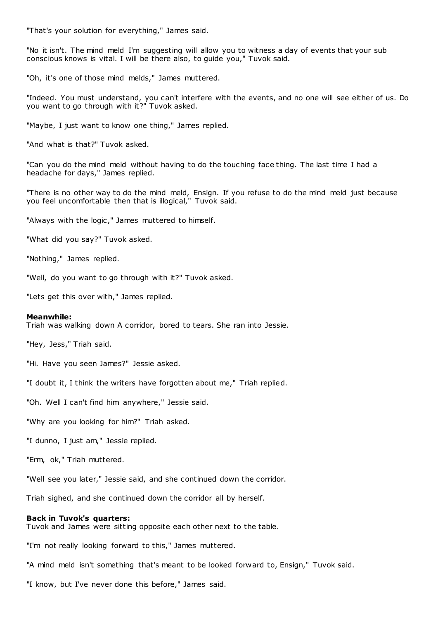"That's your solution for everything," James said.

"No it isn't. The mind meld I'm suggesting will allow you to witness a day of events that your sub conscious knows is vital. I will be there also, to guide you," Tuvok said.

"Oh, it's one of those mind melds," James muttered.

"Indeed. You must understand, you can't interfere with the events, and no one will see either of us. Do you want to go through with it?" Tuvok asked.

"Maybe, I just want to know one thing," James replied.

"And what is that?" Tuvok asked.

"Can you do the mind meld without having to do the touching face thing. The last time I had a headache for days," James replied.

"There is no other way to do the mind meld, Ensign. If you refuse to do the mind meld just because you feel uncomfortable then that is illogical," Tuvok said.

"Always with the logic," James muttered to himself.

"What did you say?" Tuvok asked.

"Nothing," James replied.

"Well, do you want to go through with it?" Tuvok asked.

"Lets get this over with," James replied.

#### **Meanwhile:**

Triah was walking down A corridor, bored to tears. She ran into Jessie.

"Hey, Jess," Triah said.

"Hi. Have you seen James?" Jessie asked.

"I doubt it, I think the writers have forgotten about me," Triah replied.

"Oh. Well I can't find him anywhere," Jessie said.

"Why are you looking for him?" Triah asked.

"I dunno, I just am," Jessie replied.

"Erm, ok," Triah muttered.

"Well see you later," Jessie said, and she continued down the corridor.

Triah sighed, and she continued down the corridor all by herself.

## **Back in Tuvok's quarters:**

Tuvok and James were sitting opposite each other next to the table.

"I'm not really looking forward to this," James muttered.

"A mind meld isn't something that's meant to be looked forward to, Ensign," Tuvok said.

"I know, but I've never done this before," James said.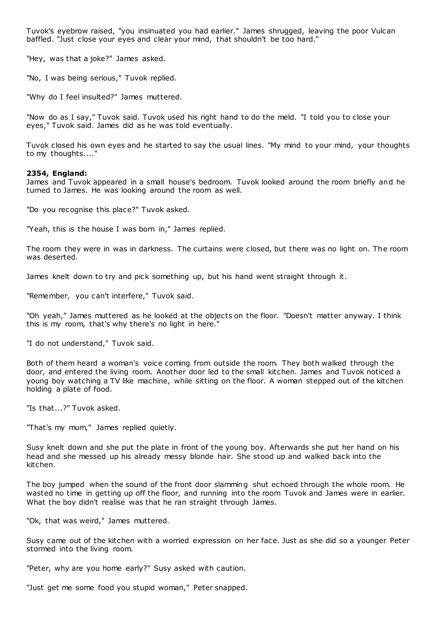Tuvok's eyebrow raised, "you insinuated you had earlier." James shrugged, leaving the poor Vulcan baffled. "Just close your eyes and clear your mind, that shouldn't be too hard."

"Hey, was that a joke?" James asked.

"No, I was being serious," Tuvok replied.

"Why do I feel insulted?" James muttered.

"Now do as I say," Tuvok said. Tuvok used his right hand to do the meld. "I told you to close your eyes," Tuvok said. James did as he was told eventually.

Tuvok closed his own eyes and he started to say the usual lines. "My mind to your mind, your thoughts to my thoughts...."

## **2354, England:**

James and Tuvok appeared in a small house's bedroom. Tuvok looked around the room briefly and he turned to James. He was looking around the room as well.

"Do you recognise this place?" Tuvok asked.

"Yeah, this is the house I was born in," James replied.

The room they were in was in darkness. The curtains were closed, but there was no light on. The room was deserted.

James knelt down to try and pick something up, but his hand went straight through it.

"Remember, you can't interfere," Tuvok said.

"Oh yeah," James muttered as he looked at the objects on the floor. "Doesn't matter anyway. I think this is my room, that's why there's no light in here."

"I do not understand," Tuvok said.

Both of them heard a woman's voice coming from outside the room. They both walked through the door, and entered the living room. Another door led to the small kitchen. James and Tuvok noticed a young boy watching a TV like machine, while sitting on the floor. A woman stepped out of the kitchen holding a plate of food.

"Is that...?" Tuvok asked.

"That's my mum," James replied quietly.

Susy knelt down and she put the plate in front of the young boy. Afterwards she put her hand on his head and she messed up his already messy blonde hair. She stood up and walked back into the kitchen.

The boy jumped when the sound of the front door slamming shut echoed through the whole room. He wasted no time in getting up off the floor, and running into the room Tuvok and James were in earlier. What the boy didn't realise was that he ran straight through James.

"Ok, that was weird," James muttered.

Susy came out of the kitchen with a worried expression on her face. Just as she did so a younger Peter stormed into the living room.

"Peter, why are you home early?" Susy asked with caution.

"Just get me some food you stupid woman," Peter snapped.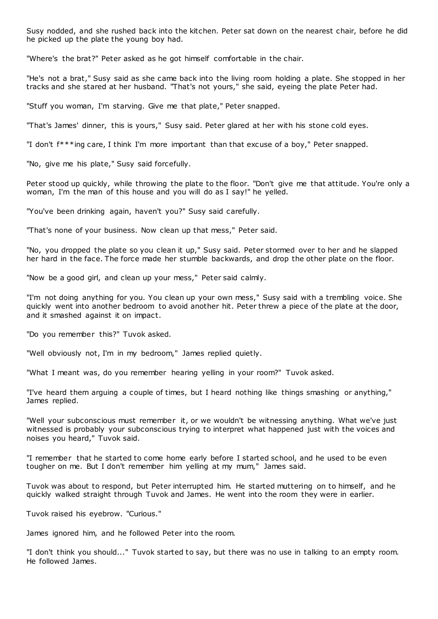Susy nodded, and she rushed back into the kitchen. Peter sat down on the nearest chair, before he did he picked up the plate the young boy had.

"Where's the brat?" Peter asked as he got himself comfortable in the chair.

"He's not a brat," Susy said as she came back into the living room holding a plate. She stopped in her tracks and she stared at her husband. "That's not yours," she said, eyeing the plate Peter had.

"Stuff you woman, I'm starving. Give me that plate," Peter snapped.

"That's James' dinner, this is yours," Susy said. Peter glared at her with his stone cold eyes.

"I don't f\*\*\*ing care, I think I'm more important than that excuse of a boy," Peter snapped.

"No, give me his plate," Susy said forcefully.

Peter stood up quickly, while throwing the plate to the floor. "Don't give me that attitude. You're only a woman, I'm the man of this house and you will do as I say!" he yelled.

"You've been drinking again, haven't you?" Susy said carefully.

"That's none of your business. Now clean up that mess," Peter said.

"No, you dropped the plate so you clean it up," Susy said. Peter stormed over to her and he slapped her hard in the face. The force made her stumble backwards, and drop the other plate on the floor.

"Now be a good girl, and clean up your mess," Peter said calmly.

"I'm not doing anything for you. You clean up your own mess," Susy said with a trembling voice. She quickly went into another bedroom to avoid another hit. Peter threw a piece of the plate at the door, and it smashed against it on impact.

"Do you remember this?" Tuvok asked.

"Well obviously not, I'm in my bedroom," James replied quietly.

"What I meant was, do you remember hearing yelling in your room?" Tuvok asked.

"I've heard them arguing a couple of times, but I heard nothing like things smashing or anything," James replied.

"Well your subconscious must remember it, or we wouldn't be witnessing anything. What we've just witnessed is probably your subconscious trying to interpret what happened just with the voices and noises you heard," Tuvok said.

"I remember that he started to come home early before I started school, and he used to be even tougher on me. But I don't remember him yelling at my mum," James said.

Tuvok was about to respond, but Peter interrupted him. He started muttering on to himself, and he quickly walked straight through Tuvok and James. He went into the room they were in earlier.

Tuvok raised his eyebrow. "Curious."

James ignored him, and he followed Peter into the room.

"I don't think you should..." Tuvok started to say, but there was no use in talking to an empty room. He followed James.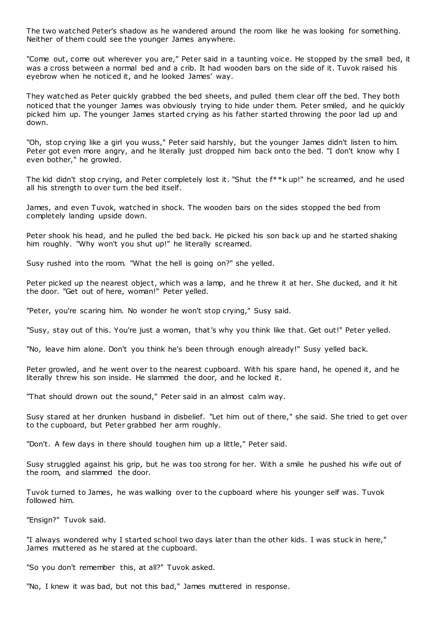The two watched Peter's shadow as he wandered around the room like he was looking for something. Neither of them could see the younger James anywhere.

"Come out, come out wherever you are," Peter said in a taunting voice. He stopped by the small bed, it was a cross between a normal bed and a crib. It had wooden bars on the side of it. Tuvok raised his eyebrow when he noticed it, and he looked James' way.

They watched as Peter quickly grabbed the bed sheets, and pulled them clear off the bed. They both noticed that the younger James was obviously trying to hide under them. Peter smiled, and he quickly picked him up. The younger James started crying as his father started throwing the poor lad up and down.

"Oh, stop crying like a girl you wuss," Peter said harshly, but the younger James didn't listen to him. Peter got even more angry, and he literally just dropped him back onto the bed. "I don't know why I even bother," he growled.

The kid didn't stop crying, and Peter completely lost it. "Shut the f\*\*k up!" he screamed, and he used all his strength to over turn the bed itself.

James, and even Tuvok, watched in shock. The wooden bars on the sides stopped the bed from completely landing upside down.

Peter shook his head, and he pulled the bed back. He picked his son back up and he started shaking him roughly. "Why won't you shut up!" he literally screamed.

Susy rushed into the room. "What the hell is going on?" she yelled.

Peter picked up the nearest object, which was a lamp, and he threw it at her. She ducked, and it hit the door. "Get out of here, woman!" Peter yelled.

"Peter, you're scaring him. No wonder he won't stop crying," Susy said.

"Susy, stay out of this. You're just a woman, that's why you think like that. Get out!" Peter yelled.

"No, leave him alone. Don't you think he's been through enough already!" Susy yelled back.

Peter growled, and he went over to the nearest cupboard. With his spare hand, he opened it, and he literally threw his son inside. He slammed the door, and he locked it.

"That should drown out the sound," Peter said in an almost calm way.

Susy stared at her drunken husband in disbelief. "Let him out of there," she said. She tried to get over to the cupboard, but Peter grabbed her arm roughly.

"Don't. A few days in there should toughen him up a little," Peter said.

Susy struggled against his grip, but he was too strong for her. With a smile he pushed his wife out of the room, and slammed the door.

Tuvok turned to James, he was walking over to the cupboard where his younger self was. Tuvok followed him.

"Ensign?" Tuvok said.

"I always wondered why I started school two days later than the other kids. I was stuck in here," James muttered as he stared at the cupboard.

"So you don't remember this, at all?" Tuvok asked.

"No, I knew it was bad, but not this bad," James muttered in response.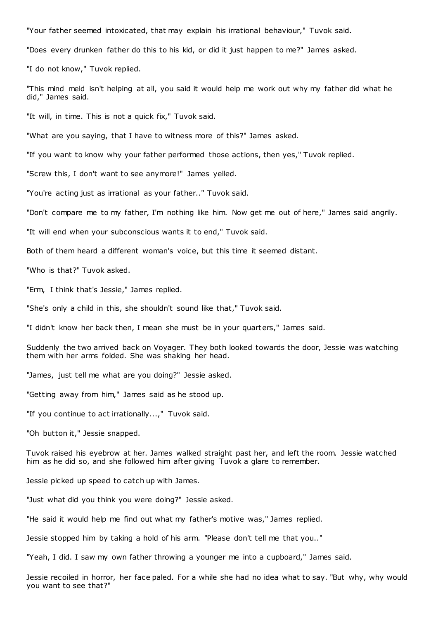"Your father seemed intoxicated, that may explain his irrational behaviour," Tuvok said.

"Does every drunken father do this to his kid, or did it just happen to me?" James asked.

"I do not know," Tuvok replied.

"This mind meld isn't helping at all, you said it would help me work out why my father did what he did," James said.

"It will, in time. This is not a quick fix," Tuvok said.

"What are you saying, that I have to witness more of this?" James asked.

"If you want to know why your father performed those actions, then yes," Tuvok replied.

"Screw this, I don't want to see anymore!" James yelled.

"You're acting just as irrational as your father.." Tuvok said.

"Don't compare me to my father, I'm nothing like him. Now get me out of here," James said angrily.

"It will end when your subconscious wants it to end," Tuvok said.

Both of them heard a different woman's voice, but this time it seemed distant.

"Who is that?" Tuvok asked.

"Erm, I think that's Jessie," James replied.

"She's only a child in this, she shouldn't sound like that," Tuvok said.

"I didn't know her back then, I mean she must be in your quarters," James said.

Suddenly the two arrived back on Voyager. They both looked towards the door, Jessie was watching them with her arms folded. She was shaking her head.

"James, just tell me what are you doing?" Jessie asked.

"Getting away from him," James said as he stood up.

"If you continue to act irrationally...," Tuvok said.

"Oh button it," Jessie snapped.

Tuvok raised his eyebrow at her. James walked straight past her, and left the room. Jessie watched him as he did so, and she followed him after giving Tuvok a glare to remember.

Jessie picked up speed to catch up with James.

"Just what did you think you were doing?" Jessie asked.

"He said it would help me find out what my father's motive was," James replied.

Jessie stopped him by taking a hold of his arm. "Please don't tell me that you.."

"Yeah, I did. I saw my own father throwing a younger me into a cupboard," James said.

Jessie recoiled in horror, her face paled. For a while she had no idea what to say. "But why, why would you want to see that?"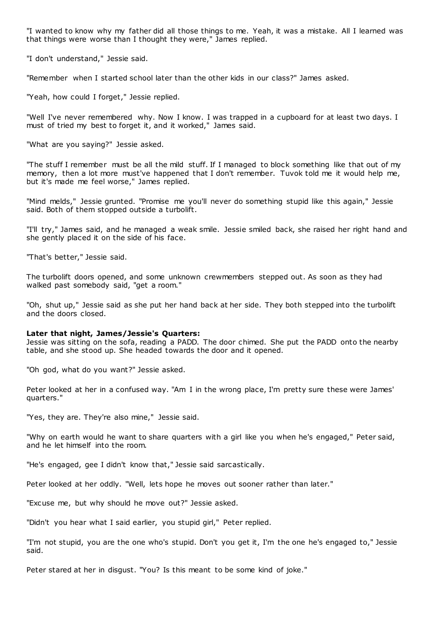"I wanted to know why my father did all those things to me. Yeah, it was a mistake. All I learned was that things were worse than I thought they were," James replied.

"I don't understand," Jessie said.

"Remember when I started school later than the other kids in our class?" James asked.

"Yeah, how could I forget," Jessie replied.

"Well I've never remembered why. Now I know. I was trapped in a cupboard for at least two days. I must of tried my best to forget it, and it worked," James said.

"What are you saying?" Jessie asked.

"The stuff I remember must be all the mild stuff. If I managed to block something like that out of my memory, then a lot more must've happened that I don't remember. Tuvok told me it would help me, but it's made me feel worse," James replied.

"Mind melds," Jessie grunted. "Promise me you'll never do something stupid like this again," Jessie said. Both of them stopped outside a turbolift.

"I'll try," James said, and he managed a weak smile. Jessie smiled back, she raised her right hand and she gently placed it on the side of his face.

"That's better," Jessie said.

The turbolift doors opened, and some unknown crewmembers stepped out. As soon as they had walked past somebody said, "get a room."

"Oh, shut up," Jessie said as she put her hand back at her side. They both stepped into the turbolift and the doors closed.

#### **Later that night, James/Jessie's Quarters:**

Jessie was sitting on the sofa, reading a PADD. The door chimed. She put the PADD onto the nearby table, and she stood up. She headed towards the door and it opened.

"Oh god, what do you want?" Jessie asked.

Peter looked at her in a confused way. "Am I in the wrong place, I'm pretty sure these were James' quarters."

"Yes, they are. They're also mine," Jessie said.

"Why on earth would he want to share quarters with a girl like you when he's engaged," Peter said, and he let himself into the room.

"He's engaged, gee I didn't know that," Jessie said sarcastically.

Peter looked at her oddly. "Well, lets hope he moves out sooner rather than later."

"Excuse me, but why should he move out?" Jessie asked.

"Didn't you hear what I said earlier, you stupid girl," Peter replied.

"I'm not stupid, you are the one who's stupid. Don't you get it, I'm the one he's engaged to," Jessie said.

Peter stared at her in disgust. "You? Is this meant to be some kind of joke."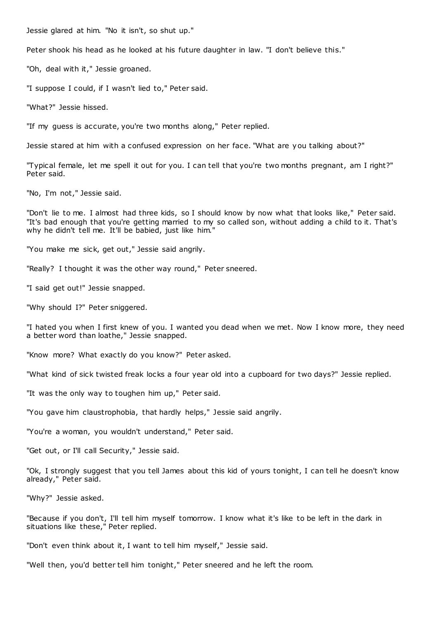Jessie glared at him. "No it isn't, so shut up."

Peter shook his head as he looked at his future daughter in law. "I don't believe this."

"Oh, deal with it," Jessie groaned.

"I suppose I could, if I wasn't lied to," Peter said.

"What?" Jessie hissed.

"If my guess is accurate, you're two months along," Peter replied.

Jessie stared at him with a confused expression on her face. "What are you talking about?"

"Typical female, let me spell it out for you. I can tell that you're two months pregnant, am I right?" Peter said.

"No, I'm not," Jessie said.

"Don't lie to me. I almost had three kids, so I should know by now what that looks like," Peter said. "It's bad enough that you're getting married to my so called son, without adding a child to it. That's why he didn't tell me. It'll be babied, just like him.

"You make me sick, get out," Jessie said angrily.

"Really? I thought it was the other way round," Peter sneered.

"I said get out!" Jessie snapped.

"Why should I?" Peter sniggered.

"I hated you when I first knew of you. I wanted you dead when we met. Now I know more, they need a better word than loathe," Jessie snapped.

"Know more? What exactly do you know?" Peter asked.

"What kind of sick twisted freak locks a four year old into a cupboard for two days?" Jessie replied.

"It was the only way to toughen him up," Peter said.

"You gave him claustrophobia, that hardly helps," Jessie said angrily.

"You're a woman, you wouldn't understand," Peter said.

"Get out, or I'll call Security," Jessie said.

"Ok, I strongly suggest that you tell James about this kid of yours tonight, I can tell he doesn't know already," Peter said.

"Why?" Jessie asked.

"Because if you don't, I'll tell him myself tomorrow. I know what it's like to be left in the dark in situations like these," Peter replied.

"Don't even think about it, I want to tell him myself," Jessie said.

"Well then, you'd better tell him tonight," Peter sneered and he left the room.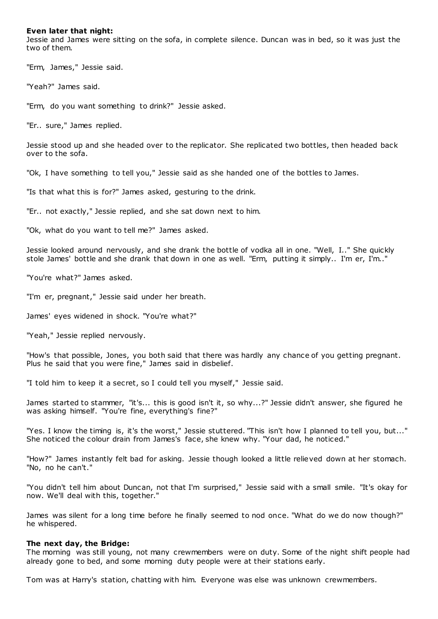## **Even later that night:**

Jessie and James were sitting on the sofa, in complete silence. Duncan was in bed, so it was just the two of them.

"Erm, James," Jessie said.

"Yeah?" James said.

"Erm, do you want something to drink?" Jessie asked.

"Er.. sure," James replied.

Jessie stood up and she headed over to the replicator. She replicated two bottles, then headed back over to the sofa.

"Ok, I have something to tell you," Jessie said as she handed one of the bottles to James.

"Is that what this is for?" James asked, gesturing to the drink.

"Er.. not exactly," Jessie replied, and she sat down next to him.

"Ok, what do you want to tell me?" James asked.

Jessie looked around nervously, and she drank the bottle of vodka all in one. "Well, I.." She quickly stole James' bottle and she drank that down in one as well. "Erm, putting it simply.. I'm er, I'm.."

"You're what?" James asked.

"I'm er, pregnant," Jessie said under her breath.

James' eyes widened in shock. "You're what?"

"Yeah," Jessie replied nervously.

"How's that possible, Jones, you both said that there was hardly any chance of you getting pregnant. Plus he said that you were fine," James said in disbelief.

"I told him to keep it a secret, so I could tell you myself," Jessie said.

James started to stammer, "it's... this is good isn't it, so why...?" Jessie didn't answer, she figured he was asking himself. "You're fine, everything's fine?"

"Yes. I know the timing is, it's the worst," Jessie stuttered. "This isn't how I planned to tell you, but..." She noticed the colour drain from James's face, she knew why. "Your dad, he noticed."

"How?" James instantly felt bad for asking. Jessie though looked a little relieved down at her stomach. "No, no he can't."

"You didn't tell him about Duncan, not that I'm surprised," Jessie said with a small smile. "It's okay for now. We'll deal with this, together."

James was silent for a long time before he finally seemed to nod once. "What do we do now though?" he whispered.

#### **The next day, the Bridge:**

The morning was still young, not many crewmembers were on duty. Some of the night shift people had already gone to bed, and some morning duty people were at their stations early.

Tom was at Harry's station, chatting with him. Everyone was else was unknown crewmembers.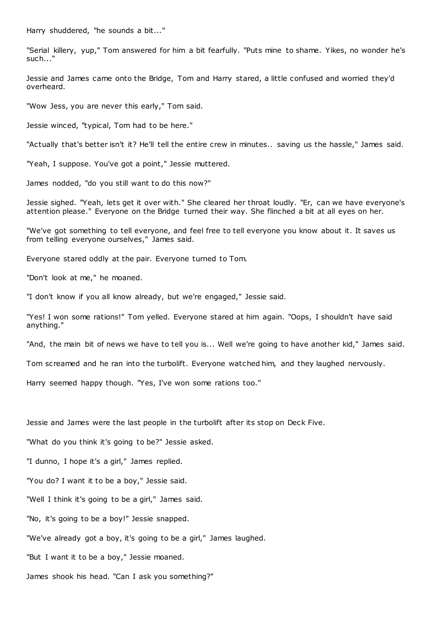Harry shuddered, "he sounds a bit..."

"Serial killery, yup," Tom answered for him a bit fearfully. "Puts mine to shame. Yikes, no wonder he's such..."

Jessie and James came onto the Bridge, Tom and Harry stared, a little confused and worried they'd overheard.

"Wow Jess, you are never this early," Tom said.

Jessie winced, "typical, Tom had to be here."

"Actually that's better isn't it? He'll tell the entire crew in minutes.. saving us the hassle," James said.

"Yeah, I suppose. You've got a point," Jessie muttered.

James nodded, "do you still want to do this now?"

Jessie sighed. "Yeah, lets get it over with." She cleared her throat loudly. "Er, can we have everyone's attention please." Everyone on the Bridge turned their way. She flinched a bit at all eyes on her.

"We've got something to tell everyone, and feel free to tell everyone you know about it. It saves us from telling everyone ourselves," James said.

Everyone stared oddly at the pair. Everyone turned to Tom.

"Don't look at me," he moaned.

"I don't know if you all know already, but we're engaged," Jessie said.

"Yes! I won some rations!" Tom yelled. Everyone stared at him again. "Oops, I shouldn't have said anything."

"And, the main bit of news we have to tell you is... Well we're going to have another kid," James said.

Tom screamed and he ran into the turbolift. Everyone watched him, and they laughed nervously.

Harry seemed happy though. "Yes, I've won some rations too."

Jessie and James were the last people in the turbolift after its stop on Deck Five.

"What do you think it's going to be?" Jessie asked.

"I dunno, I hope it's a girl," James replied.

"You do? I want it to be a boy," Jessie said.

"Well I think it's going to be a girl," James said.

"No, it's going to be a boy!" Jessie snapped.

"We've already got a boy, it's going to be a girl," James laughed.

"But I want it to be a boy," Jessie moaned.

James shook his head. "Can I ask you something?"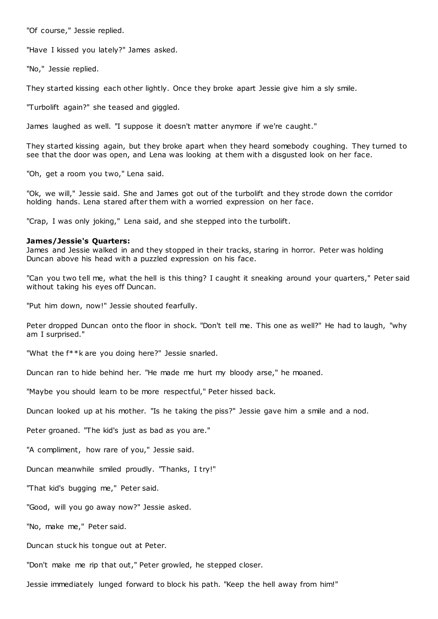"Of course," Jessie replied.

"Have I kissed you lately?" James asked.

"No," Jessie replied.

They started kissing each other lightly. Once they broke apart Jessie give him a sly smile.

"Turbolift again?" she teased and giggled.

James laughed as well. "I suppose it doesn't matter anymore if we're caught."

They started kissing again, but they broke apart when they heard somebody coughing. They turned to see that the door was open, and Lena was looking at them with a disgusted look on her face.

"Oh, get a room you two," Lena said.

"Ok, we will," Jessie said. She and James got out of the turbolift and they strode down the corridor holding hands. Lena stared after them with a worried expression on her face.

"Crap, I was only joking," Lena said, and she stepped into the turbolift.

#### **James/Jessie's Quarters:**

James and Jessie walked in and they stopped in their tracks, staring in horror. Peter was holding Duncan above his head with a puzzled expression on his face.

"Can you two tell me, what the hell is this thing? I caught it sneaking around your quarters," Peter said without taking his eyes off Duncan.

"Put him down, now!" Jessie shouted fearfully.

Peter dropped Duncan onto the floor in shock. "Don't tell me. This one as well?" He had to laugh, "why am I surprised."

"What the f\*\*k are you doing here?" Jessie snarled.

Duncan ran to hide behind her. "He made me hurt my bloody arse," he moaned.

"Maybe you should learn to be more respectful," Peter hissed back.

Duncan looked up at his mother. "Is he taking the piss?" Jessie gave him a smile and a nod.

Peter groaned. "The kid's just as bad as you are."

"A compliment, how rare of you," Jessie said.

Duncan meanwhile smiled proudly. "Thanks, I try!"

"That kid's bugging me," Peter said.

"Good, will you go away now?" Jessie asked.

"No, make me," Peter said.

Duncan stuck his tongue out at Peter.

"Don't make me rip that out," Peter growled, he stepped closer.

Jessie immediately lunged forward to block his path. "Keep the hell away from him!"